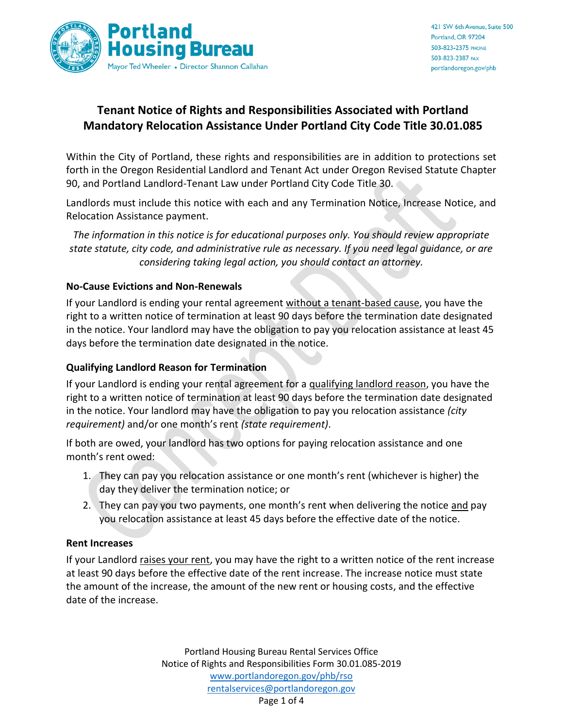

# **Tenant Notice of Rights and Responsibilities Associated with Portland Mandatory Relocation Assistance Under Portland City Code Title 30.01.085**

Within the City of Portland, these rights and responsibilities are in addition to protections set forth in the Oregon Residential Landlord and Tenant Act under Oregon Revised Statute Chapter 90, and Portland Landlord-Tenant Law under Portland City Code Title 30.

Landlords must include this notice with each and any Termination Notice, Increase Notice, and Relocation Assistance payment.

*The information in this notice is for educational purposes only. You should review appropriate state statute, city code, and administrative rule as necessary. If you need legal guidance, or are considering taking legal action, you should contact an attorney.*

### **No-Cause Evictions and Non-Renewals**

If your Landlord is ending your rental agreement without a tenant-based cause, you have the right to a written notice of termination at least 90 days before the termination date designated in the notice. Your landlord may have the obligation to pay you relocation assistance at least 45 days before the termination date designated in the notice.

## **Qualifying Landlord Reason for Termination**

If your Landlord is ending your rental agreement for a qualifying landlord reason, you have the right to a written notice of termination at least 90 days before the termination date designated in the notice. Your landlord may have the obligation to pay you relocation assistance *(city requirement)* and/or one month's rent *(state requirement)*.

If both are owed, your landlord has two options for paying relocation assistance and one month's rent owed:

- 1. They can pay you relocation assistance or one month's rent (whichever is higher) the day they deliver the termination notice; or
- 2. They can pay you two payments, one month's rent when delivering the notice and pay you relocation assistance at least 45 days before the effective date of the notice.

#### **Rent Increases**

If your Landlord raises your rent, you may have the right to a written notice of the rent increase at least 90 days before the effective date of the rent increase. The increase notice must state the amount of the increase, the amount of the new rent or housing costs, and the effective date of the increase.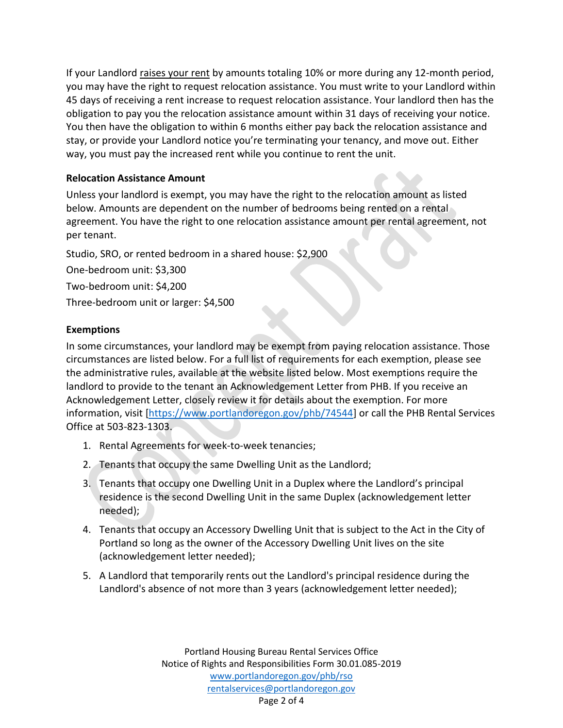If your Landlord raises your rent by amounts totaling 10% or more during any 12-month period, you may have the right to request relocation assistance. You must write to your Landlord within 45 days of receiving a rent increase to request relocation assistance. Your landlord then has the obligation to pay you the relocation assistance amount within 31 days of receiving your notice. You then have the obligation to within 6 months either pay back the relocation assistance and stay, or provide your Landlord notice you're terminating your tenancy, and move out. Either way, you must pay the increased rent while you continue to rent the unit.

## **Relocation Assistance Amount**

Unless your landlord is exempt, you may have the right to the relocation amount as listed below. Amounts are dependent on the number of bedrooms being rented on a rental agreement. You have the right to one relocation assistance amount per rental agreement, not per tenant.

Studio, SRO, or rented bedroom in a shared house: \$2,900

One-bedroom unit: \$3,300

Two-bedroom unit: \$4,200

Three-bedroom unit or larger: \$4,500

## **Exemptions**

In some circumstances, your landlord may be exempt from paying relocation assistance. Those circumstances are listed below. For a full list of requirements for each exemption, please see the administrative rules, available at the website listed below. Most exemptions require the landlord to provide to the tenant an Acknowledgement Letter from PHB. If you receive an Acknowledgement Letter, closely review it for details about the exemption. For more information, visit [\[https://www.portlandoregon.gov/phb/74544\]](https://www.portlandoregon.gov/phb/74544) or call the PHB Rental Services Office at 503-823-1303.

- 1. Rental Agreements for week-to-week tenancies;
- 2. Tenants that occupy the same Dwelling Unit as the Landlord;
- 3. Tenants that occupy one Dwelling Unit in a Duplex where the Landlord's principal residence is the second Dwelling Unit in the same Duplex (acknowledgement letter needed);
- 4. Tenants that occupy an Accessory Dwelling Unit that is subject to the Act in the City of Portland so long as the owner of the Accessory Dwelling Unit lives on the site (acknowledgement letter needed);
- 5. A Landlord that temporarily rents out the Landlord's principal residence during the Landlord's absence of not more than 3 years (acknowledgement letter needed);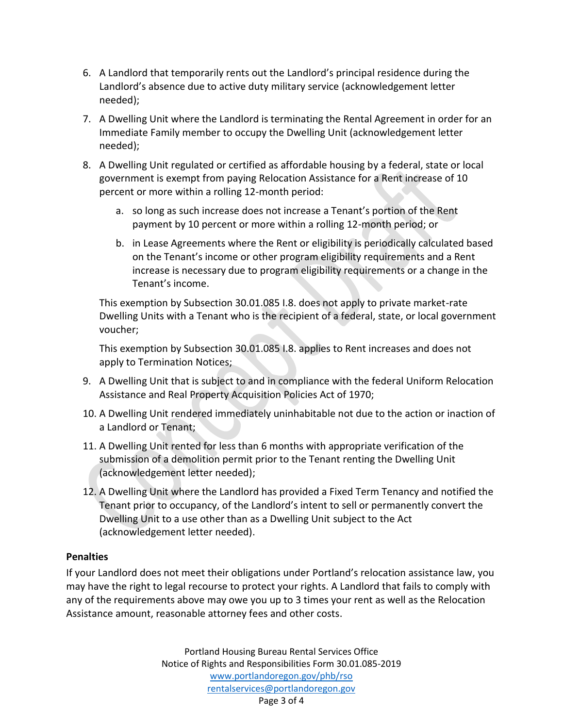- 6. A Landlord that temporarily rents out the Landlord's principal residence during the Landlord's absence due to active duty military service (acknowledgement letter needed);
- 7. A Dwelling Unit where the Landlord is terminating the Rental Agreement in order for an Immediate Family member to occupy the Dwelling Unit (acknowledgement letter needed);
- 8. A Dwelling Unit regulated or certified as affordable housing by a federal, state or local government is exempt from paying Relocation Assistance for a Rent increase of 10 percent or more within a rolling 12-month period:
	- a. so long as such increase does not increase a Tenant's portion of the Rent payment by 10 percent or more within a rolling 12-month period; or
	- b. in Lease Agreements where the Rent or eligibility is periodically calculated based on the Tenant's income or other program eligibility requirements and a Rent increase is necessary due to program eligibility requirements or a change in the Tenant's income.

This exemption by Subsection 30.01.085 I.8. does not apply to private market-rate Dwelling Units with a Tenant who is the recipient of a federal, state, or local government voucher;

This exemption by Subsection 30.01.085 I.8. applies to Rent increases and does not apply to Termination Notices;

- 9. A Dwelling Unit that is subject to and in compliance with the federal Uniform Relocation Assistance and Real Property Acquisition Policies Act of 1970;
- 10. A Dwelling Unit rendered immediately uninhabitable not due to the action or inaction of a Landlord or Tenant;
- 11. A Dwelling Unit rented for less than 6 months with appropriate verification of the submission of a demolition permit prior to the Tenant renting the Dwelling Unit (acknowledgement letter needed);
- 12. A Dwelling Unit where the Landlord has provided a Fixed Term Tenancy and notified the Tenant prior to occupancy, of the Landlord's intent to sell or permanently convert the Dwelling Unit to a use other than as a Dwelling Unit subject to the Act (acknowledgement letter needed).

## **Penalties**

If your Landlord does not meet their obligations under Portland's relocation assistance law, you may have the right to legal recourse to protect your rights. A Landlord that fails to comply with any of the requirements above may owe you up to 3 times your rent as well as the Relocation Assistance amount, reasonable attorney fees and other costs.